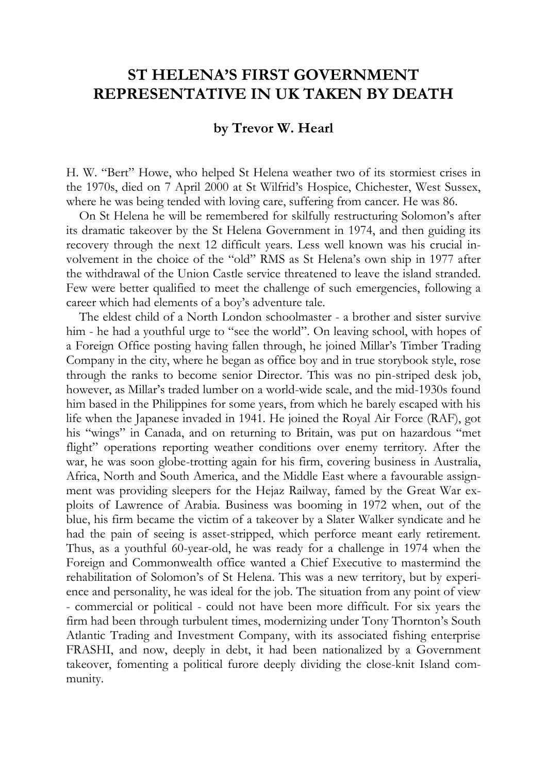## **ST HELENA'S FIRST GOVERNMENT REPRESENTATIVE IN UK TAKEN BY DEATH**

## **by Trevor W. Hearl**

H. W. "Bert" Howe, who helped St Helena weather two of its stormiest crises in the 1970s, died on 7 April 2000 at St Wilfrid's Hospice, Chichester, West Sussex, where he was being tended with loving care, suffering from cancer. He was 86.

On St Helena he will be remembered for skilfully restructuring Solomon's after its dramatic takeover by the St Helena Government in 1974, and then guiding its recovery through the next 12 difficult years. Less well known was his crucial involvement in the choice of the "old" RMS as St Helena's own ship in 1977 after the withdrawal of the Union Castle service threatened to leave the island stranded. Few were better qualified to meet the challenge of such emergencies, following a career which had elements of a boy's adventure tale.

The eldest child of a North London schoolmaster - a brother and sister survive him - he had a youthful urge to "see the world". On leaving school, with hopes of a Foreign Office posting having fallen through, he joined Millar's Timber Trading Company in the city, where he began as office boy and in true storybook style, rose through the ranks to become senior Director. This was no pin-striped desk job, however, as Millar's traded lumber on a world-wide scale, and the mid-1930s found him based in the Philippines for some years, from which he barely escaped with his life when the Japanese invaded in 1941. He joined the Royal Air Force (RAF), got his "wings" in Canada, and on returning to Britain, was put on hazardous "met flight" operations reporting weather conditions over enemy territory. After the war, he was soon globe-trotting again for his firm, covering business in Australia, Africa, North and South America, and the Middle East where a favourable assignment was providing sleepers for the Hejaz Railway, famed by the Great War exploits of Lawrence of Arabia. Business was booming in 1972 when, out of the blue, his firm became the victim of a takeover by a Slater Walker syndicate and he had the pain of seeing is asset-stripped, which perforce meant early retirement. Thus, as a youthful 60-year-old, he was ready for a challenge in 1974 when the Foreign and Commonwealth office wanted a Chief Executive to mastermind the rehabilitation of Solomon's of St Helena. This was a new territory, but by experience and personality, he was ideal for the job. The situation from any point of view - commercial or political - could not have been more difficult. For six years the firm had been through turbulent times, modernizing under Tony Thornton's South Atlantic Trading and Investment Company, with its associated fishing enterprise FRASHI, and now, deeply in debt, it had been nationalized by a Government takeover, fomenting a political furore deeply dividing the close-knit Island community.